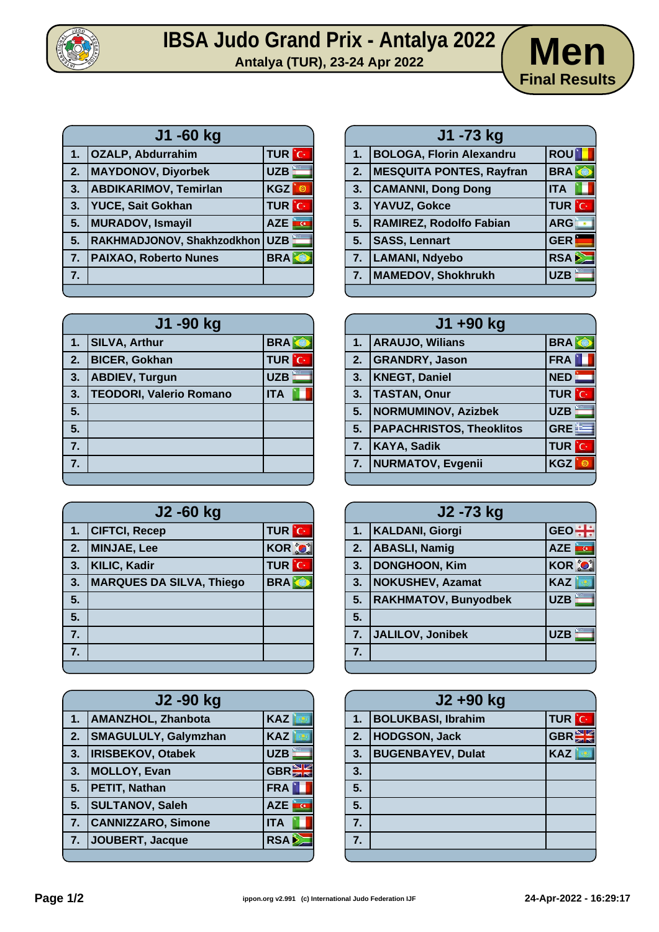

## **IBSA Judo Grand Prix - Antalya 2022**<br>Antalya (TUR), 23-24 Apr 2022<br>**Men**



| J1 -60 kg |                              |              |
|-----------|------------------------------|--------------|
| 1.        | <b>OZALP, Abdurrahim</b>     | <b>TUR</b> C |
| 2.        | <b>MAYDONOV, Diyorbek</b>    | <b>UZB</b>   |
| 3.        | <b>ABDIKARIMOV, Temirlan</b> | <b>KGZ</b>   |
| 3.        | <b>YUCE, Sait Gokhan</b>     | <b>TUR</b> C |
| 5.        | <b>MURADOV, Ismayil</b>      | <b>AZE</b>   |
| 5.        | RAKHMADJONOV, Shakhzodkhon   | <b>UZB</b>   |
| 7.        | <b>PAIXAO, Roberto Nunes</b> | <b>BRA</b>   |
| 7.        |                              |              |
|           |                              |              |

| J1 -90 kg |                                |              |  |
|-----------|--------------------------------|--------------|--|
| 1.        | <b>SILVA, Arthur</b>           | <b>BRA</b>   |  |
| 2.        | <b>BICER, Gokhan</b>           | <b>TUR</b> C |  |
| 3.        | <b>ABDIEV, Turgun</b>          | <b>UZB</b>   |  |
| 3.        | <b>TEODORI, Valerio Romano</b> | <b>ITA</b>   |  |
| 5.        |                                |              |  |
| 5.        |                                |              |  |
| 7.        |                                |              |  |
| 7.        |                                |              |  |
|           |                                |              |  |

| J2 -60 kg |                                 |                   |
|-----------|---------------------------------|-------------------|
| 1.        | <b>CIFTCI, Recep</b>            | <b>TUR</b> C      |
| 2.        | <b>MINJAE, Lee</b>              | <b>KOR O</b>      |
| 3.        | <b>KILIC, Kadir</b>             | <b>TUR</b><br>ÎС. |
| 3.        | <b>MARQUES DA SILVA, Thiego</b> | <b>BRA</b>        |
| 5.        |                                 |                   |
| 5.        |                                 |                   |
| 7.        |                                 |                   |
| 7.        |                                 |                   |
|           |                                 |                   |

| J2 -90 kg |                             |                    |
|-----------|-----------------------------|--------------------|
| 1.        | <b>AMANZHOL, Zhanbota</b>   | <b>KAZ</b>         |
| 2.        | <b>SMAGULULY, Galymzhan</b> | <b>KAZ</b>         |
| 3.        | <b>IRISBEKOV, Otabek</b>    | <b>UZB</b>         |
| 3.        | <b>MOLLOY, Evan</b>         | GBR                |
| 5.        | PETIT, Nathan               | <b>FRA</b>         |
| 5.        | <b>SULTANOV, Saleh</b>      | <b>AZE</b><br>inc. |
| 7.        | <b>CANNIZZARO, Simone</b>   | <b>ITA</b>         |
| 7.        | JOUBERT, Jacque             | <b>RSA</b>         |
|           |                             |                    |

| J1 -73 kg |                                 |              |
|-----------|---------------------------------|--------------|
| 1.        | <b>BOLOGA, Florin Alexandru</b> | <b>ROU</b>   |
| 2.        | <b>MESQUITA PONTES, Rayfran</b> | <b>BRA</b>   |
| 3.        | <b>CAMANNI, Dong Dong</b>       | <b>ITA</b>   |
| 3.        | YAVUZ, Gokce                    | <b>TUR</b> C |
| 5.        | RAMIREZ, Rodolfo Fabian         | <b>ARG</b>   |
| 5.        | <b>SASS, Lennart</b>            | <b>GER</b>   |
| 7.        | <b>LAMANI, Ndyebo</b>           | <b>RSA</b>   |
| 7.        | <b>MAMEDOV, Shokhrukh</b>       | <b>UZB</b>   |
|           |                                 |              |

| J1 +90 kg |                                 |                  |
|-----------|---------------------------------|------------------|
| 1.        | <b>ARAUJO, Wilians</b>          | <b>BRA</b>       |
| 2.        | <b>GRANDRY, Jason</b>           | <b>FRA</b>       |
| 3.        | <b>KNEGT, Daniel</b>            | <b>NED</b>       |
| 3.        | <b>TASTAN, Onur</b>             | <b>TUR</b> C     |
| 5.        | <b>NORMUMINOV, Azizbek</b>      | <b>UZB</b>       |
| 5.        | <b>PAPACHRISTOS, Theoklitos</b> | GRE <sup>E</sup> |
| 7.        | <b>KAYA, Sadik</b>              | <b>TUR</b> C     |
| 7.        | <b>NURMATOV, Evgenii</b>        | <b>KGZ</b>       |
|           |                                 |                  |

| J2 -73 kg |                             |                     |
|-----------|-----------------------------|---------------------|
| 1.        | <b>KALDANI, Giorgi</b>      | $GEO -$             |
| 2.        | <b>ABASLI, Namig</b>        | <b>Later</b><br>AZE |
| 3.        | <b>DONGHOON, Kim</b>        | <b>KOR O</b>        |
| 3.        | <b>NOKUSHEV, Azamat</b>     | <b>KAZ</b>          |
| 5.        | <b>RAKHMATOV, Bunyodbek</b> | <b>UZB</b>          |
| 5.        |                             |                     |
| 7.        | JALILOV, Jonibek            | <b>UZB</b>          |
| 7.        |                             |                     |
|           |                             |                     |

|    | J2+90 kg                  |              |  |
|----|---------------------------|--------------|--|
| 1. | <b>BOLUKBASI, Ibrahim</b> | <b>TUR</b> C |  |
| 2. | HODGSON, Jack             | GBR          |  |
| 3. | <b>BUGENBAYEV, Dulat</b>  | <b>KAZ</b>   |  |
| 3. |                           |              |  |
| 5. |                           |              |  |
| 5. |                           |              |  |
| 7. |                           |              |  |
| 7. |                           |              |  |
|    |                           |              |  |